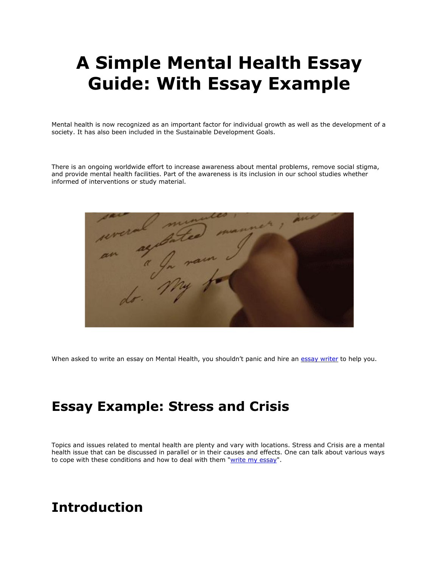# **A Simple Mental Health Essay Guide: With Essay Example**

Mental health is now recognized as an important factor for individual growth as well as the development of a society. It has also been included in the Sustainable Development Goals.

There is an ongoing worldwide effort to increase awareness about mental problems, remove social stigma, and provide mental health facilities. Part of the awareness is its inclusion in our school studies whether informed of interventions or study material.



When asked to write an essay on Mental Health, you shouldn't panic and hire an [essay writer](https://www.freeessaywriter.net/) to help you.

### **Essay Example: Stress and Crisis**

Topics and issues related to mental health are plenty and vary with locations. Stress and Crisis are a mental health issue that can be discussed in parallel or in their causes and effects. One can talk about various ways to cope with these conditions and how to deal with them ["write my essay"](https://www.5staressays.com/).

## **Introduction**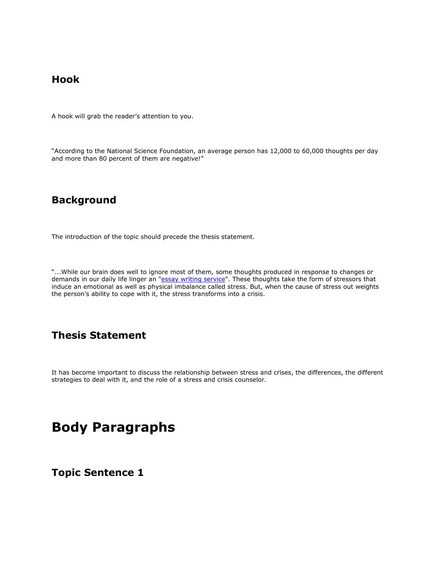### **Hook**

A hook will grab the reader's attention to you.

"According to the National Science Foundation, an average person has 12,000 to 60,000 thoughts per day and more than 80 percent of them are negative!"

### **Background**

The introduction of the topic should precede the thesis statement.

"...While our brain does well to ignore most of them, some thoughts produced in response to changes or demands in our daily life linger an ["essay writing service"](https://www.myperfectwords.com/). These thoughts take the form of stressors that induce an emotional as well as physical imbalance called stress. But, when the cause of stress out weights the person's ability to cope with it, the stress transforms into a crisis.

### **Thesis Statement**

It has become important to discuss the relationship between stress and crises, the differences, the different strategies to deal with it, and the role of a stress and crisis counselor.

### **Body Paragraphs**

**Topic Sentence 1**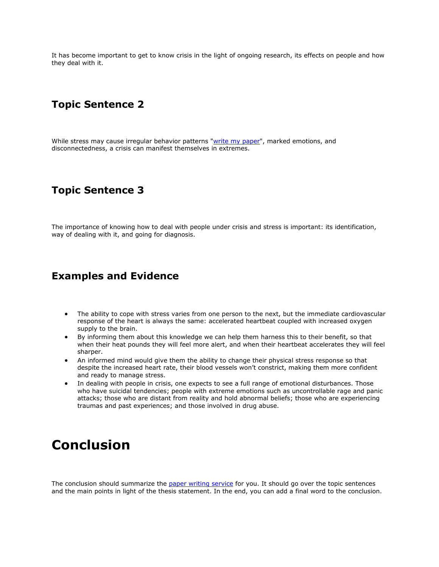It has become important to get to know crisis in the light of ongoing research, its effects on people and how they deal with it.

### **Topic Sentence 2**

While stress may cause irregular behavior patterns ["write my paper"](https://www.collegeessay.org/), marked emotions, and disconnectedness, a crisis can manifest themselves in extremes.

#### **Topic Sentence 3**

The importance of knowing how to deal with people under crisis and stress is important: its identification, way of dealing with it, and going for diagnosis.

#### **Examples and Evidence**

- The ability to cope with stress varies from one person to the next, but the immediate cardiovascular response of the heart is always the same: accelerated heartbeat coupled with increased oxygen supply to the brain.
- By informing them about this knowledge we can help them harness this to their benefit, so that when their heat pounds they will feel more alert, and when their heartbeat accelerates they will feel sharper.
- An informed mind would give them the ability to change their physical stress response so that despite the increased heart rate, their blood vessels won't constrict, making them more confident and ready to manage stress.
- In dealing with people in crisis, one expects to see a full range of emotional disturbances. Those who have suicidal tendencies; people with extreme emotions such as uncontrollable rage and panic attacks; those who are distant from reality and hold abnormal beliefs; those who are experiencing traumas and past experiences; and those involved in drug abuse.

### **Conclusion**

The conclusion should summarize the [paper writing service](https://www.myperfectpaper.net/) for you. It should go over the topic sentences and the main points in light of the thesis statement. In the end, you can add a final word to the conclusion.